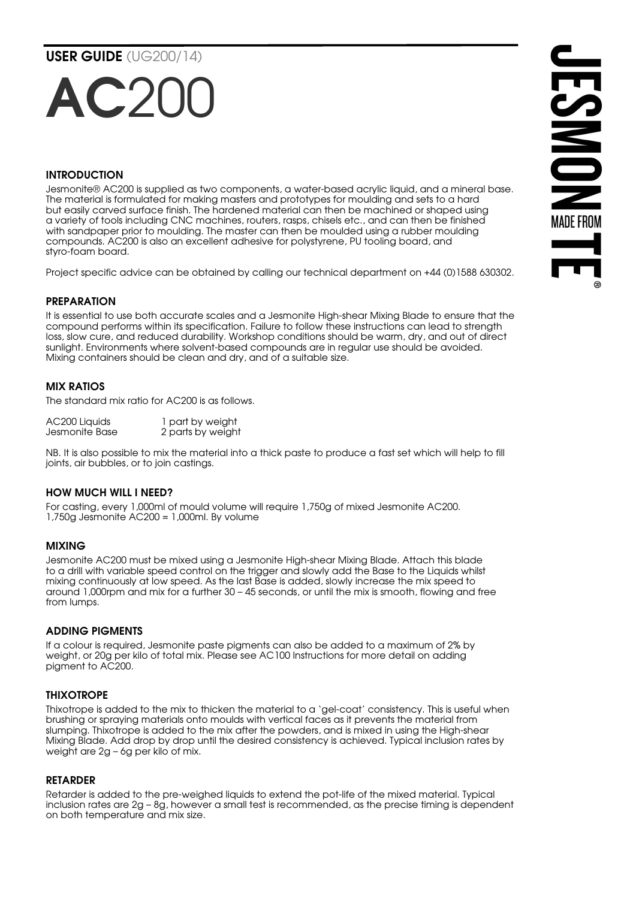USER GUIDE (UG200/14)

# $AC20$

# INTRODUCTION

Jesmonite® AC200 is supplied as two components, a water-based acrylic liquid, and a mineral base. The material is formulated for making masters and prototypes for moulding and sets to a hard but easily carved surface finish. The hardened material can then be machined or shaped using a variety of tools including CNC machines, routers, rasps, chisels etc., and can then be finished with sandpaper prior to moulding. The master can then be moulded using a rubber moulding compounds. AC200 is also an excellent adhesive for polystyrene, PU tooling board, and styro-foam board.

Project specific advice can be obtained by calling our technical department on +44 (0)1588 630302.

# PREPARATION

It is essential to use both accurate scales and a Jesmonite High-shear Mixing Blade to ensure that the compound performs within its specification. Failure to follow these instructions can lead to strength loss, slow cure, and reduced durability. Workshop conditions should be warm, dry, and out of direct sunlight. Environments where solvent-based compounds are in regular use should be avoided. Mixing containers should be clean and dry, and of a suitable size.

# MIX RATIOS

The standard mix ratio for AC200 is as follows.

| AC200 Liquids  | 1 part by weight  |
|----------------|-------------------|
| Jesmonite Base | 2 parts by weight |

NB. It is also possible to mix the material into a thick paste to produce a fast set which will help to fill joints, air bubbles, or to join castings.

# HOW MUCH WILL I NEED?

For casting, every 1,000ml of mould volume will require 1,750g of mixed Jesmonite AC200. 1,750g Jesmonite AC200 = 1,000ml. By volume

# MIXING

Jesmonite AC200 must be mixed using a Jesmonite High-shear Mixing Blade. Attach this blade to a drill with variable speed control on the trigger and slowly add the Base to the Liquids whilst mixing continuously at low speed. As the last Base is added, slowly increase the mix speed to around 1,000rpm and mix for a further 30 – 45 seconds, or until the mix is smooth, flowing and free from lumps.

# ADDING PIGMENTS

If a colour is required, Jesmonite paste pigments can also be added to a maximum of 2% by weight, or 20g per kilo of total mix. Please see AC100 Instructions for more detail on adding pigment to AC200.

# **THIXOTROPE**

Thixotrope is added to the mix to thicken the material to a 'gel-coat' consistency. This is useful when brushing or spraying materials onto moulds with vertical faces as it prevents the material from slumping. Thixotrope is added to the mix after the powders, and is mixed in using the High-shear Mixing Blade. Add drop by drop until the desired consistency is achieved. Typical inclusion rates by weight are 2g – 6g per kilo of mix.

# **RETARDER**

Retarder is added to the pre-weighed liquids to extend the pot-life of the mixed material. Typical inclusion rates are 2g – 8g, however a small test is recommended, as the precise timing is dependent on both temperature and mix size.